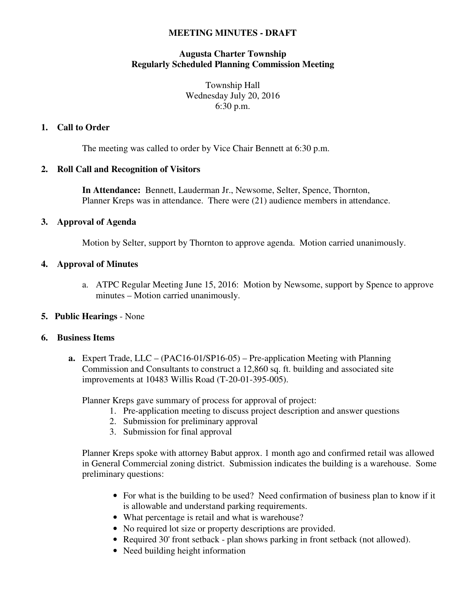#### **MEETING MINUTES - DRAFT**

## **Augusta Charter Township Regularly Scheduled Planning Commission Meeting**

Township Hall Wednesday July 20, 2016 6:30 p.m.

## **1. Call to Order**

The meeting was called to order by Vice Chair Bennett at 6:30 p.m.

## **2. Roll Call and Recognition of Visitors**

**In Attendance:** Bennett, Lauderman Jr., Newsome, Selter, Spence, Thornton, Planner Kreps was in attendance. There were (21) audience members in attendance.

## **3. Approval of Agenda**

Motion by Selter, support by Thornton to approve agenda. Motion carried unanimously.

## **4. Approval of Minutes**

a. ATPC Regular Meeting June 15, 2016: Motion by Newsome, support by Spence to approve minutes – Motion carried unanimously.

# **5. Public Hearings** - None

#### **6. Business Items**

**a.** Expert Trade, LLC – (PAC16-01/SP16-05) – Pre-application Meeting with Planning Commission and Consultants to construct a 12,860 sq. ft. building and associated site improvements at 10483 Willis Road (T-20-01-395-005).

Planner Kreps gave summary of process for approval of project:

- 1. Pre-application meeting to discuss project description and answer questions
- 2. Submission for preliminary approval
- 3. Submission for final approval

Planner Kreps spoke with attorney Babut approx. 1 month ago and confirmed retail was allowed in General Commercial zoning district. Submission indicates the building is a warehouse. Some preliminary questions:

- For what is the building to be used? Need confirmation of business plan to know if it is allowable and understand parking requirements.
- What percentage is retail and what is warehouse?
- No required lot size or property descriptions are provided.
- Required 30' front setback plan shows parking in front setback (not allowed).
- Need building height information